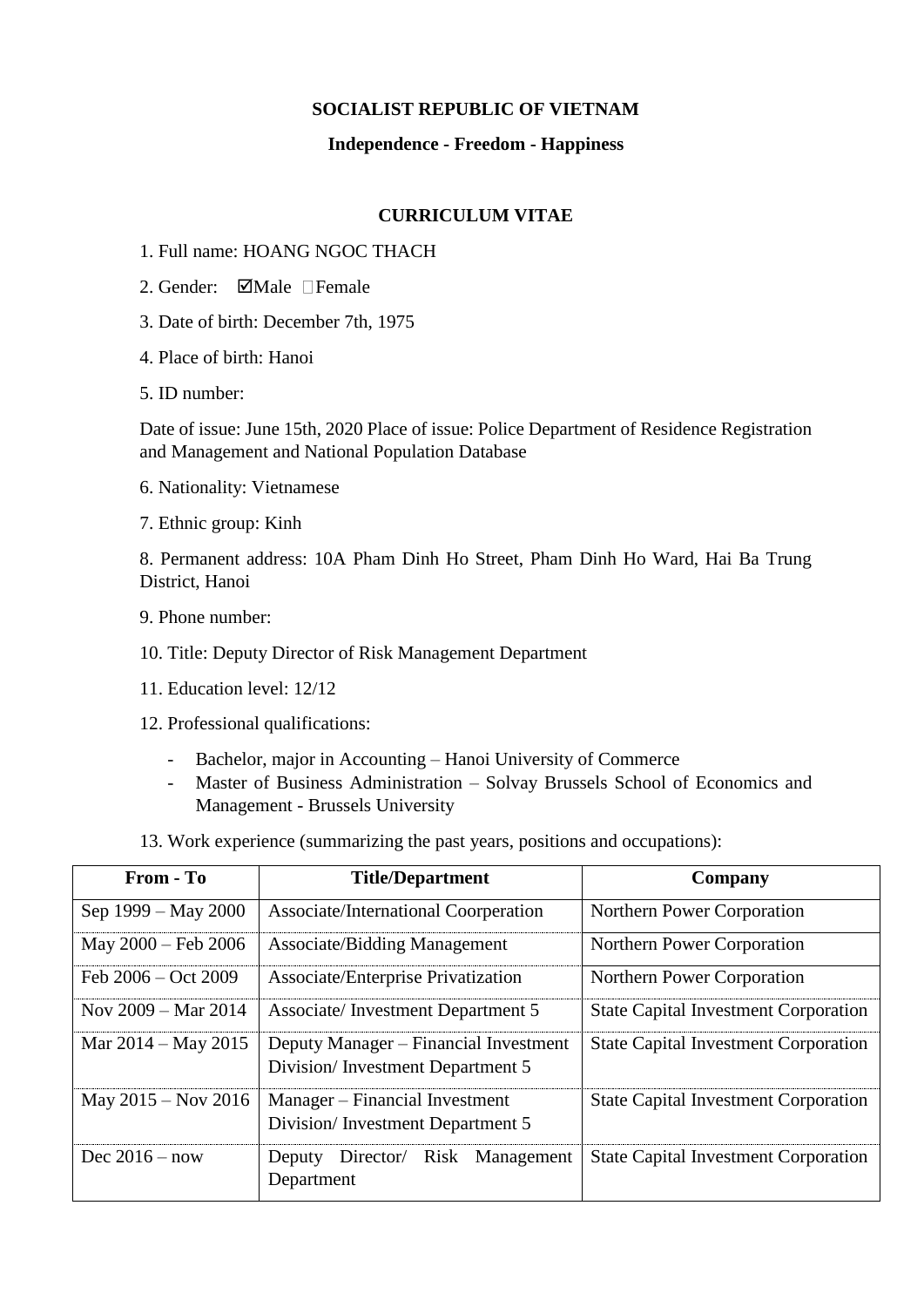## **SOCIALIST REPUBLIC OF VIETNAM**

## **Independence - Freedom - Happiness**

## **CURRICULUM VITAE**

- 1. Full name: HOANG NGOC THACH
- 2. Gender:  $\Box$ Male  $\Box$ Female
- 3. Date of birth: December 7th, 1975
- 4. Place of birth: Hanoi
- 5. ID number:

Date of issue: June 15th, 2020 Place of issue: Police Department of Residence Registration and Management and National Population Database

- 6. Nationality: Vietnamese
- 7. Ethnic group: Kinh

8. Permanent address: 10A Pham Dinh Ho Street, Pham Dinh Ho Ward, Hai Ba Trung District, Hanoi

- 9. Phone number:
- 10. Title: Deputy Director of Risk Management Department
- 11. Education level: 12/12
- 12. Professional qualifications:
	- Bachelor, major in Accounting Hanoi University of Commerce
	- Master of Business Administration Solvay Brussels School of Economics and Management - Brussels University
- 13. Work experience (summarizing the past years, positions and occupations):

| From - To                     | <b>Title/Department</b>                                                   | Company                                     |  |
|-------------------------------|---------------------------------------------------------------------------|---------------------------------------------|--|
| Sep 1999 – May 2000           | Associate/International Coorperation                                      | Northern Power Corporation                  |  |
| May 2000 - Feb 2006           | <b>Associate/Bidding Management</b>                                       | Northern Power Corporation                  |  |
| Feb $2006 - Oct$ 2009         | Associate/Enterprise Privatization                                        | Northern Power Corporation                  |  |
| Nov $2009 - \text{Mar } 2014$ | Associate/Investment Department 5                                         | <b>State Capital Investment Corporation</b> |  |
| Mar $2014 -$ May $2015$       | Deputy Manager – Financial Investment<br>Division/Investment Department 5 | <b>State Capital Investment Corporation</b> |  |
| May $2015 -$ Nov $2016$       | Manager – Financial Investment<br>Division/Investment Department 5        | <b>State Capital Investment Corporation</b> |  |
| Dec $2016 - now$              | Director/ Risk Management<br>Deputy<br>Department                         | <b>State Capital Investment Corporation</b> |  |